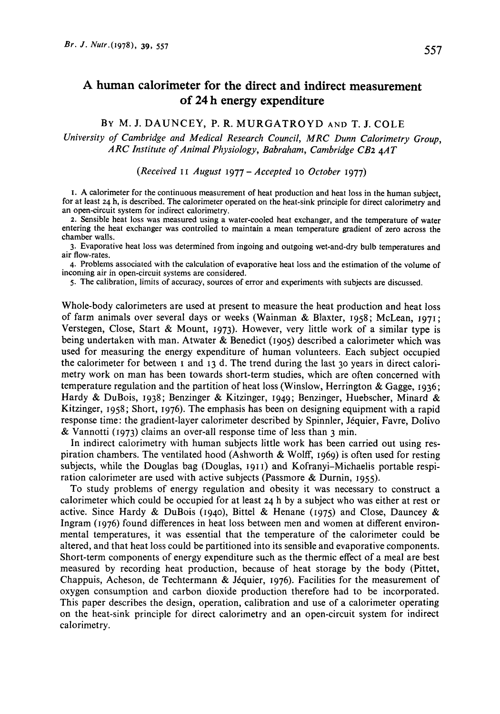557

# A human calorimeter for the direct and indirect measurement of **24** h energy expenditure

# BY **M.** J. DAUNCEY, P. R. MURGATROYD **AND** T. **J.** COLE

*University of Cambridge and Medical Research Council, MRC Dunn Calorimetry Group, ARC Institute of Animal Physiology, Babraham, Cambridge CB2 4AT* 

*(Received* I I *August* <sup>1977</sup>- *Accepted* **10** *October* 1977)

**I. A** calorimeter for the continuous measurement **of** heat production and heat **loss** in the human subject, for at least **24** h, is described. The calorimeter operated on the heat-sink principle for direct calorimetry and an open-circuit system for indirect calorimetry.

*2.* Sensible heat loss was measured using a water-cooled heat exchanger, and the temperature of water entering the heat exchanger was controlled to maintain a mean temperature gradient of zero across the chamber walls.

**3.** Evaporative heat loss was determined from ingoing and outgoing wet-and-dry bulb temperatures and air flow-rates.

**4.** Problems associated with the calculation **of** evaporative heat loss and the estimation **of** the volume of inconling air in open-circuit systems are considered.

*5.* The calibration, limits of accuracy, sources of error and experiments with subjects are discussed.

Whole-body calorimeters are used at present to measure the heat production and heat loss of farm animals over several days or weeks (Wainman & Blaxter, 1958; McLean, 1971; Verstegen, Close, Start & Mount, 1973). However, very little work of a similar type is being undertaken with man. Atwater & Benedict (1905) described a calorimeter which was used for measuring the energy expenditure of human volunteers. Each subject occupied the calorimeter for between **I** and 13 d. The trend during the last 30 years in direct calorimetry work on man has been towards short-term studies, which are often concerned with temperature regulation and the partition of heat loss (Winslow, Herrington & Gagge, 1936; Hardy & DuBois, 1938; Benzinger & Kitzinger, 1949; Benzinger, Huebscher, Minard & Kitzinger, 1958; Short, 1976). The emphasis has been on designing equipment with a rapid response time: the gradient-layer calorimeter described by Spinnler, Jéquier, Favre, Dolivo & Vannotti (1973) claims an over-all response time of less than 3 min.

In indirect calorimetry with human subjects little work has been carried out using respiration chambers. The ventilated hood (Ashworth  $\&$  Wolff, 1969) is often used for resting subjects, while the Douglas bag (Douglas, **1911)** and Kofranyi-Michaelis portable respiration calorimeter are used with active subjects (Passmore & Durnin, 1955).

To study problems of energy regulation and obesity it was necessary to construct a calorimeter which could be occupied for at least *24* h by a subject who was either at rest or active. Since Hardy & DuBois (1940), Bittel & Henane (1975) and Close, Dauncey & Ingram (1976) found differences in heat loss between men and women at different environmental temperatures, it was essential that the temperature of the calorimeter could be altered, and that heat loss could be partitioned into its sensible and evaporative components. Short-term components of energy expenditure such as the thermic effect of a meal are best measured by recording heat production, because of heat storage by the body (Pittet, Chappuis, Acheson, de Techtermann & Jéquier, 1976). Facilities for the measurement of oxygen consumption and carbon dioxide production therefore had to be incorporated. This paper describes the design, operation, calibration and use of a calorimeter operating on the heat-sink principle for direct calorimetry and an open-circuit system for indirect calorimetry.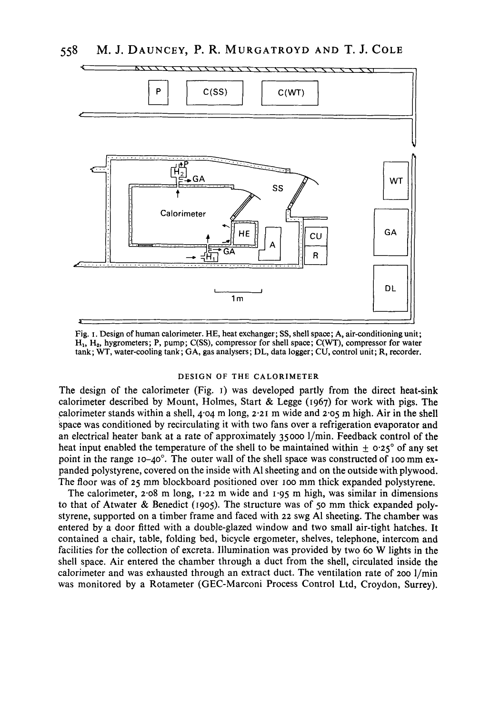

**Fig. I. Design** of **human calorimeter. HE, heat exchanger; SS, shell space; A, air-conditioningunit;**  H,, **Hz, hygrometers; P, pump; C(SS), compressor for shell space; C(WT), compressor for water tank; WT, water-cooling tank; GA, gas analysers; DL, data logger; CU, control unit; R, recorder.** 

#### **DESIGN OF THE CALORIMETER**

The design of the calorimeter (Fig. I) was developed partly from the direct heat-sink calorimeter described by Mount, Holmes, Start & Legge (1967) for work with pigs. The calorimeter stands within a shell, **4.04** m long, **2.21** m wide and 2-05 m high. Air in the shell space was conditioned by recirculating it with two fans over a refrigeration evaporator and an electrical heater bank at a rate of approximately 35000 l/min. Feedback control of the heat input enabled the temperature of the shell to be maintained within  $\pm$  0.25° of any set point in the range **10-40".** The outer wall of the shell space was constructed of **100** mm expanded polystyrene, covered on the inside with A1 sheeting and on the outside with plywood. The floor was of **25** mm blockboard positioned over **IOO** mm thick expanded polystyrene.

The calorimeter, *2.08* m long, **1.22** m wide and **1-95** m high, was similar in dimensions to that of Atwater & Benedict (1905). The structure was of 50 mm thick expanded polystyrene, supported on a timber frame and faced with *22* swg A1 sheeting. The chamber was entered by a door fitted with a double-glazed window and two small air-tight hatches. It contained a chair, table, folding bed, bicycle ergometer, shelves, telephone, intercom and facilities for the collection of excreta. Illumination was provided by two 60 **W** lights in the shell space. Air entered the chamber through a duct from the shell, circulated inside the calorimeter and was exhausted through an extract duct. The ventilation rate of 200 I/min was monitored by a Rotameter (GEC-Marconi Process Control Ltd, Croydon, Surrey).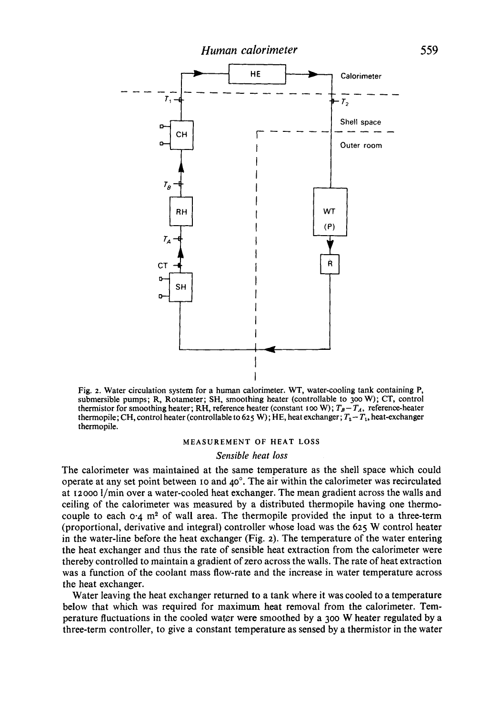*Human calorimeter 559*  HE Calorimeter  $\tau_{1}$  $T_2$ Shell space CН Outer room  $T_{\hat{B}}$ **RH** WT  $(P)$  $T_{\rm A}$ **CT SH** 

**Fig. 2. Water circulation system for a human calorimeter. WT, water-cooling tank containing P, submersible pumps; R, Rotameter; SH, smoothing heater (controllable to** *300* **W); CT, control thermistor for smoothing heater; RH, reference heater (constant 100 W);**  $T_B - T_A$ **, reference-heater thermopile; CH, control heater (controllable to 625 W); HE, heat exchanger;**  $T_2 - T_1$ **, heat-exchanger thermopile.** 

#### **MEASUREMENT OF HEAT LOSS**

#### *Sensible heat loss*

The calorimeter was maintained at the same temperature as the shell space which could operate at any set point between **10** and **40".** The air within the calorimeter was recirculated at **12000** I/min over a water-cooled heat exchanger. The mean gradient across the walls and ceiling of the calorimeter was measured by a distributed thermopile having one thermocouple to each  $0.4$  m<sup>2</sup> of wall area. The thermopile provided the input to a three-term (proportional, derivative and integral) controller whose load was the *625* **W** control heater in the water-line before the heat exchanger (Fig. *2).* The temperature of the water entering the heat exchanger and thus the rate of sensible heat extraction from the calorimeter were thereby controlled to maintain a gradient of zero across the walls. The rate of heat extraction was a function **of** the coolant mass flow-rate and the increase in water temperature across the heat exchanger.

Water leaving the heat exchanger returned to a tank where it was cooled to a temperature below that which was required for maximum heat removal from the calorimeter. Temperature fluctuations in the cooled watcr were smoothed by a 300 W heater regulated by a three-term controller, to give a constant temperature as sensed by a thermistor in the water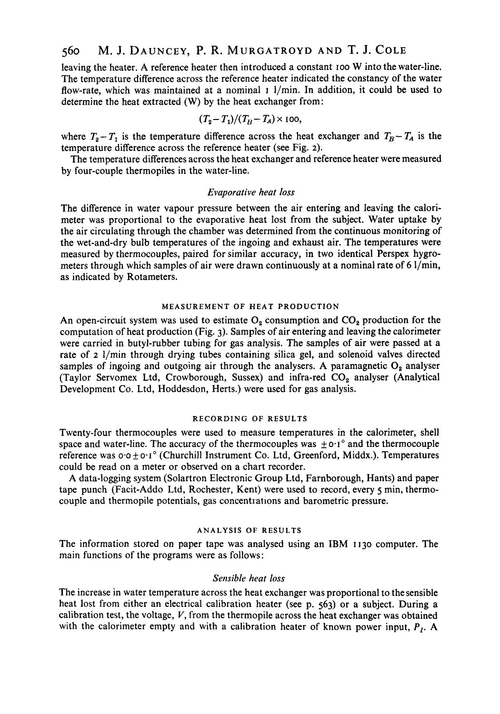# *560* M. **J. DAUNCEY, P. R. MURGATROYD AND T. J. COLE**

leaving the heater. A reference heater then introduced a constant roo **W** into the water-line. The temperature difference across the reference heater indicated the constancy of the water flow-rate, which was maintained at a nominal **I** l/min. In addition, it could be used to determine the heat extracted **(W)** by the heat exchanger from:

$$
(T_2 - T_1)/(T_B - T_A) \times 100
$$
,

where  $T_2 - T_1$  is the temperature difference across the heat exchanger and  $T_B - T_A$  is the temperature difference across the reference heater (see Fig. *2).* 

The temperature differences across the heat exchanger and reference heater were measured by four-couple thermopiles in the water-line.

#### *Evaporative heat loss*

The difference in water vapour pressure between the air entering and leaving the calorimeter was proportional to the evaporative heat lost from the subject. Water uptake by the air circulating through the chamber was determined from the continuous monitoring of the wet-and-dry bulb temperatures of the ingoing and exhaust air. The temperatures were measured by thermocouples, paired for similar accuracy, in two identical Perspex hygrometers through which samples of air were drawn continuously at a nominal rate of **6** l/min, as indicated by Rotameters.

#### **MEASUREMENT OF HEAT PRODUCTION**

An open-circuit system was used to estimate  $O_2$  consumption and  $CO_2$  production for the computation of heat production (Fig. **3).** Samples of air entering and leaving the calorimeter were carried in butyl-rubber tubing for gas analysis. The samples of air were passed at a rate of *z* l/min through drying tubes containing silica gel, and solenoid valves directed samples of ingoing and outgoing air through the analysers. A paramagnetic  $O_2$  analyser (Taylor Servomex Ltd, Crowborough, Sussex) and infra-red CO<sub>2</sub> analyser (Analytical Development Co. Ltd, Hoddesdon, Herts.) were used for gas analysis.

#### **RECORDING OF RESULTS**

Twenty-four thermocouples were used to measure temperatures in the calorimeter, shell space and water-line. The accuracy of the thermocouples was  $\pm$  0.1° and the thermocouple reference was *0.0 f* **0.1** *O* (Churchill Instrument Co. Ltd, Greenford, Middx.). Temperatures could be read on a meter or observed on a chart recorder.

A data-logging system (Solartron Electronic Group Ltd, Farnborough, Hants) and paper tape punch (Facit-Addo Ltd, Rochester, Kent) were used to record, every 5 min, thermocouple and thermopile potentials, gas concentrations and barometric pressure.

#### **ANALYSIS OF RESULTS**

The information stored on paper tape was analysed using an IBM **1130** computer. The main functions of the programs were as follows:

#### *Sensible heat loss*

The increase in water temperature across the heat exchanger was proportional to the sensible heat lost from either an electrical calibration heater (see p. **563)** or a subject. During a calibration test, the voltage, *V,* from the thermopile across the heat exchanger was obtained with the calorimeter empty and with a calibration heater of known power input,  $P<sub>I</sub>$ . A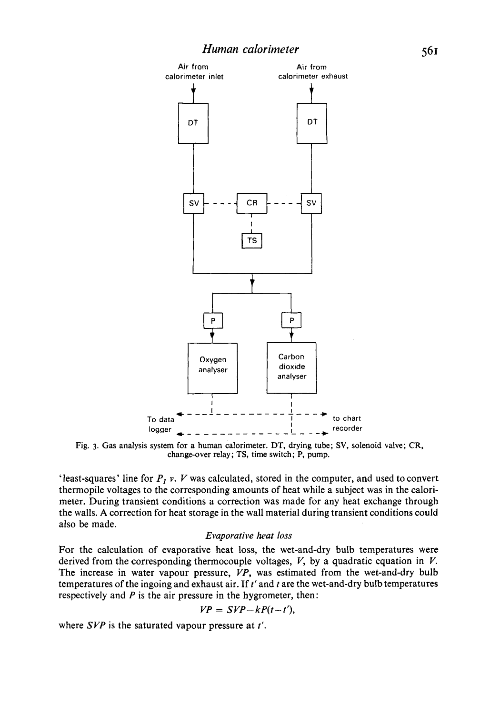

**Fig. 3. Gas analysis system for a human calorimeter.** DT, **drying tube; SV, solenoid valve; CR, change-over relay; TS, time switch; P, pump.** 

'least-squares' line for *P, v. V* was calculated, stored in the computer, and used to convert thermopile voltages to the corresponding amounts of heat while a subject was in the calorimeter. During transient conditions a correction was made for any heat exchange through the walls. **A** correction for heat storage in the wall material during transient conditions could also be made.

#### *Evaporative heat loss*

For the calculation of evaporative heat **loss,** the wet-and-dry bulb temperatures were derived from the corresponding thermocouple voltages, *V,* by a quadratic equation in *V.*  The increase in water vapour pressure, *VP,* was estimated from the wet-and-dry bulb temperatures of the ingoing and exhaust air. If *t'* and *t* are the wet-and-dry bulb temperatures respectively and *P* is the air pressure in the hygrometer, then:

$$
VP = SVP - kP(t-t'),
$$

where *SVP* is the saturated vapour pressure at *t'.*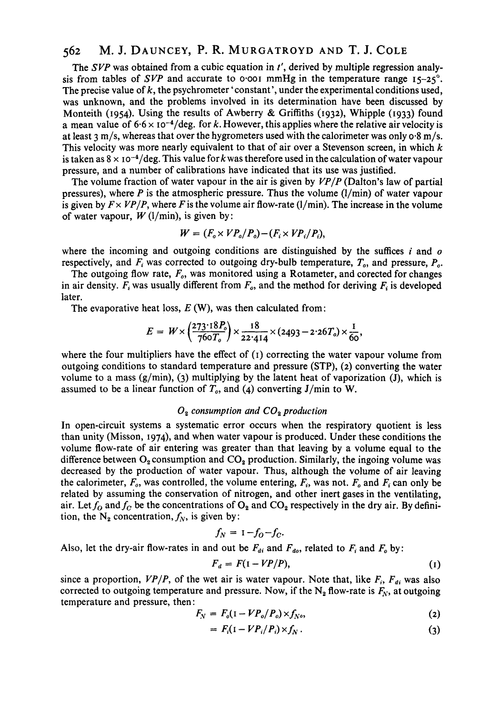# *<sup>562</sup>***M. J. DAUNCEY,** P. **R. MURGATROYD AND T. J. COLE**

The *SVP* was obtained from a cubic equation in *t',* derived by multiple regression analysis from tables of *SVP* and accurate to  $\circ$  001 mmHg in the temperature range  $15-25^\circ$ . The precise value of k, the psychrometer 'constant', under the experimental conditions used, was unknown, and the problems involved in its determination have been discussed by Monteith **(1954).** Using the results of Awberry & Griffiths **(1g32),** Whipple **(1933)** found a mean value of  $6.6 \times 10^{-4}$ /deg. for k. However, this applies where the relative air velocity is at least **3** m/s, whereas that over the hygrometers used with the calorimeter was only *0.8* m/s. This velocity was more nearly equivalent to that of air over a Stevenson screen, in which  $k$ is taken as  $8 \times 10^{-4}/\text{deg}$ . This value for k was therefore used in the calculation of water vapour pressure, and a number of calibrations have indicated that its use was justified.

The volume fraction of water vapour in the air is given by *VP/P* (Dalton's law of partial pressures), where  $P$  is the atmospheric pressure. Thus the volume  $(1/\text{min})$  of water vapour is given by  $F \times VP/P$ , where *F* is the volume air flow-rate ( $1/\text{min}$ ). The increase in the volume of water vapour,  $W$  ( $l/min$ ), is given by:

$$
W = (F_o \times VP_o/P_o) - (F_i \times VP_i/P_i),
$$

where the incoming and outgoing conditions are distinguished by the suffices *i* and *o* respectively, and *F,* was corrected to outgoing dry-bulb temperature, *To,* and pressure, *Po.* 

The outgoing flow rate,  $F_o$ , was monitored using a Rotameter, and corected for changes in air density.  $F_i$  was usually different from  $F_o$ , and the method for deriving  $F_i$  is developed later. If and outgoing conditions are distinguished by the was corrected to outgoing dry-bulb temperature, T<br>
Iv rate,  $F_o$ , was monitored using a Rotameter, and consulty different from  $F_o$ , and the method for derive<br>
leat loss

The evaporative heat loss, *E* (W), was then calculated from:

$$
E = W \times \left(\frac{273.18P_o}{760T_o}\right) \times \frac{18}{22.414} \times (2493 - 2.26T_o) \times \frac{1}{60},
$$

where the four multipliers have the effect of **(I)** correcting the water vapour volume from outgoing conditions to standard temperature and pressure (STP), **(2)** converting the water volume to a mass (g/min), **(3)** multiplying by the latent heat of vaporization **(J),** which is assumed to be a linear function of  $T<sub>o</sub>$ , and (4) converting J/min to W.

### *0, consumption and* **COz** *production*

In open-circuit systems a systematic error occurs when the respiratory quotient is less than unity (Misson, **1974),** and when water vapour is produced. Under these conditions the volume flow-rate of air entering was greater than that leaving by a volume equal to the difference between  $O_2$  consumption and  $CO_2$  production. Similarly, the ingoing volume was decreased by the production of water vapour. Thus, although the volume of air leaving the calorimeter,  $F_o$ , was controlled, the volume entering,  $F_i$ , was not.  $F_o$  and  $F_i$  can only be related by assuming the conservation of nitrogen, and other inert gases in the ventilating, air. Let  $f_0$  and  $f_c$  be the concentrations of  $O_2$  and  $CO_2$  respectively in the dry air. By definition, the  $N_2$  concentration,  $f_N$ , is given by:

$$
f_N = 1 - f_O - f_C.
$$

Also, let the dry-air flow-rates in and out be  $F_{di}$  and  $F_{do}$ , related to  $F_i$  and  $F_o$  by:<br> $F_d = F(1 - VP/P)$ ,

$$
F_d = F(1 - VP/P), \tag{1}
$$

since a proportion,  $VP/P$ , of the wet air is water vapour. Note that, like  $F_i$ ,  $F_{di}$  was also corrected to outgoing temperature and pressure. Now, if the  $N_2$  flow-rate is  $F_N$ , at outgoing temperature and pressure, then :

$$
F_N = F_o(1 - VP_o/P_o) \times f_{N_o}, \tag{2}
$$

$$
= F_i(1 - VP_i/P_i) \times f_N.
$$
 (3)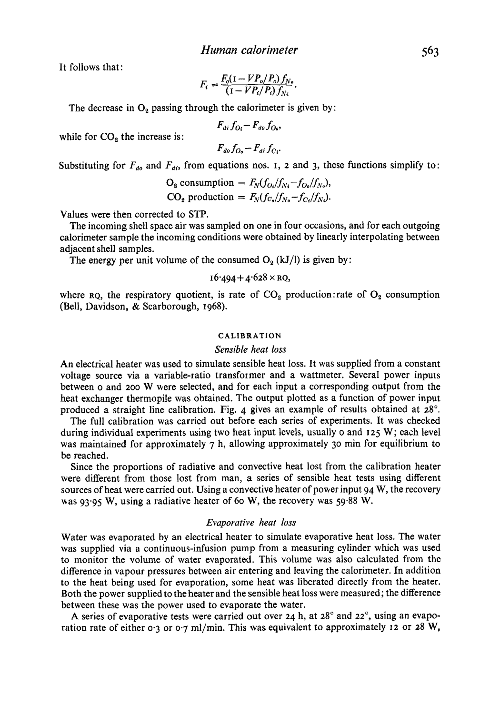It follows that:

$$
F_i = \frac{F_o(1 - VP_o/P_o) f_{N_o}}{(1 - VP_i/P_i) f_{N_i}}.
$$

The decrease in  $O_2$  passing through the calorimeter is given by:

$$
F_{di}f_{O_i}-F_{do}f_{O_o},
$$

while for  $CO<sub>2</sub>$  the increase is:

 $F_{d0}f_{O_0}-F_{di}f_{C_i}$ 

Substituting for  $F_{d0}$  and  $F_{di}$ , from equations nos. **I**, **2** and **3**, these functions simplify to:

$$
O_2 \text{ consumption} = F_N(f_{O_i}/f_{N_i}-f_{O_o}/f_{N_o}),
$$
  
 
$$
CO_2 \text{ production} = F_N(f_{C_o}/f_{N_o}-f_{C_i}/f_{N_i}).
$$

Values were then corrected to STP.

The incoming shell space air was sampled on one in four occasions, and for each outgoing calorimeter sample the incoming conditions were obtained by linearly interpolating between adjacent shell samples.

The energy per unit volume of the consumed  $O_2$  (kJ/l) is given by:

$$
16.494 + 4.628 \times RQ,
$$

where **RQ**, the respiratory quotient, is rate of CO<sub>2</sub> production:rate of O<sub>2</sub> consumption (Bell, Davidson, & Scarborough, **1968).** 

#### **CALIBRATION**

#### *Sensible heat loss*

An electrical heater was used to simulate sensible heat loss. It was supplied from a constant voltage source via a variable-ratio transformer and a wattmeter. Several power inputs between o and zoo **W** were selected, and for each input a corresponding output from the heat exchanger thermopile was obtained. The output plotted as a function of power input produced a straight line calibration. Fig. **4** gives an example of results obtained at **28".** 

The full calibration was carried out before each series of experiments. It was checked during individual experiments using two heat input levels, usually o and **125 W;** each level was maintained for approximately **7** h, allowing approximately *30* min for equilibrium to be reached.

Since the proportions of radiative and convective heat lost from the calibration heater were different from those lost from man, **a** series of sensible heat tests using different sources of heat were carried out. Using a convective heater of power input **94** W, the recovery was **93.95** W, using a radiative heater of **60 W,** the recovery was **59.88** W.

## *Evaporative heat loss*

Water was evaporated by an electrical heater to simulate evaporative heat **loss.** The water was supplied via a continuous-infusion pump from a measuring cylinder which was used to monitor the volume of water evaporated. This volume was also calculated from the difference in vapour pressures between air entering and leaving the calorimeter. In addition to the heat being used for evaporation, some heat was liberated directly from the heater. Both the power supplied to the heater and the sensible heat loss were measured ; the difference between these was the power used to evaporate the water.

A series of evaporative tests were carried out over 24 h, at 28° and 22°, using an evaporation rate of either **0.3** or **0.7** ml/min. This was equivalent to approximately **12** or **28 W,**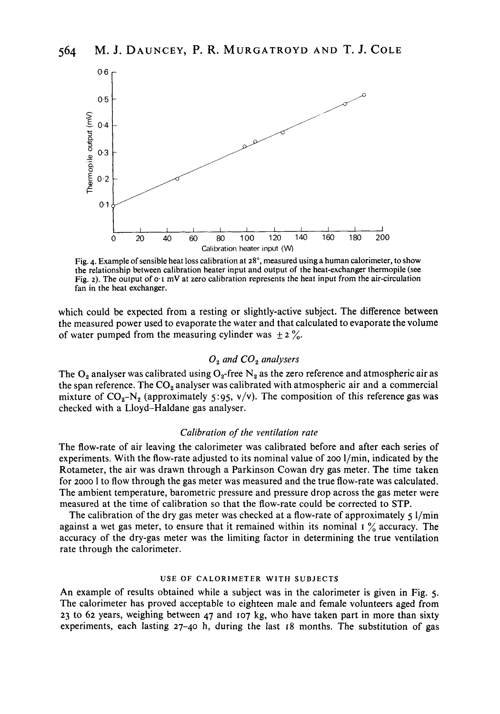

**Fig. 4. Example of sensible heat loss calibration at 28", measured using a human calorimeter, to show the relationship between calibration heater input and output** of **the heat-exchanger thermopile (see Fig.** *2).* **The output** of **0.1** mV **at zero calibration represents the heat input from the air-circulation fan in the heat exchanger.** 

which could be expected from a resting or slightly-active subject. The difference between the measured power used to evaporate the water and that calculated to evaporate the volume of water pumped from the measuring cylinder was  $\pm$  2 %.

# *0, and CO, analysers*

The  $O_2$  analyser was calibrated using  $O_2$ -free N<sub>2</sub> as the zero reference and atmospheric air as the span reference. The *CO,* analyser was calibrated with atmospheric air and a commercial mixture of  $CO<sub>2</sub>-N<sub>2</sub>$  (approximately 5:95, v/v). The composition of this reference gas was checked with a Lloyd-Haldane gas analyser.

## *Calibration of the ventilation rate*

The flow-rate of air leaving the calorimeter was calibrated before and after each series of experiments. With the flow-rate adjusted to its nominal value of 200 l/min, indicated by the Rotameter, the air was drawn through a Parkinson Cowan dry gas meter. The time taken for 2000 1 to flow through the gas meter was measured and the true flow-rate was calculated. The ambient temperature, barometric pressure and pressure drop across the gas meter were measured at the time of calibration so that the flow-rate could be corrected to STP.

The calibration of the dry gas meter was checked at a flow-rate of approximately 5 l/min against a wet gas meter, to ensure that it remained within its nominal **I** % accuracy. The accuracy of the dry-gas meter was the limiting factor in determining the true ventilation rate through the calorimeter.

#### **USE OF CALORIMETER WITH SUBJECTS**

An example of results obtained while a subject was in the calorimeter is given in Fig. *5.*  The calorimeter has proved acceptable to eighteen male and female volunteers aged from **23** to **62** years, weighing between **47** and **107** kg, who have taken part in more than sixty experiments, each lasting **27-40** h, during the last **18** months. The substitution of gas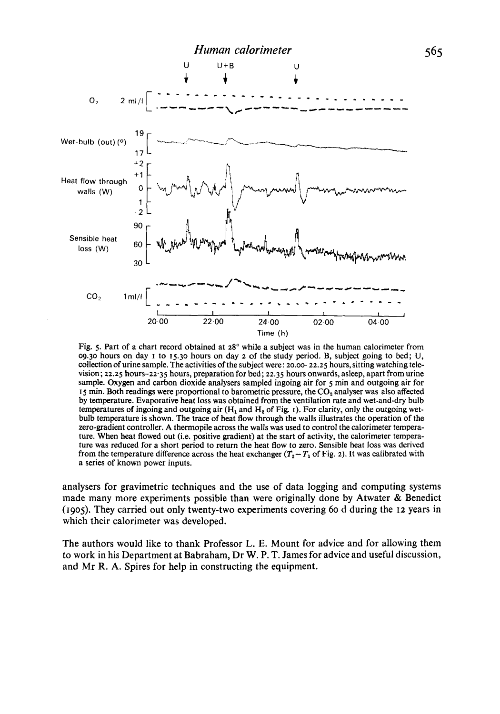

Fig. 5. Part of a chart record obtained at *28"* while a subject was in the human calorimeter from *09.30* hours on day I to 15.30 hours on day 2 of the study period. B, subject going to bed; U, collection of urine sample. The activities of the subject were: *zo.oe* 22.25 hours, sitting watching television; 22.25 hours-22.35 hours, preparation for bed; **22.35** hours onwards, asleep, apart from urine sample. Oxygen and carbon dioxide analysers sampled ingoing air for 5 min and outgoing air for I 5 min. Both readings were proportional to barometric pressure, the **COz** analyser was also affected by temperature. Evaporative heat loss was obtained from the ventilation rate and wet-and-dry bulb temperatures of ingoing and outgoing air  $(H_1 \text{ and } H_2 \text{ of Fig. 1})$ . For clarity, only the outgoing wetbulb temperature is shown. The trace of heat flow through the walls illustrates the operation of the zero-gradient controller. **A** thermopile across the walls was used to control the calorimeter temperature. When heat flowed out (i.e. positive gradient) at the start of activity, the calorimeter temperature was reduced for a short period to return the heat flow to zero. Sensible heat loss was derived from the temperature difference across the heat exchanger  $(T_2 - T_1)$  of Fig. 2). It was calibrated with a series of known power inputs.

analysers for gravimetric techniques and the use of data logging and computing systems made many more experiments possible than were originally done by Atwater & Benedict **(1905).** They carried out only twenty-two experiments covering 60 d during the **12** years in which their calorimeter was developed.

The authors would like to thank Professor L. **E.** Mount for advice and for allowing them to work in his Department at Babraham, Dr **W.** P. T. James for advice and useful discussion, and Mr R. A. Spires for help in constructing the equipment.